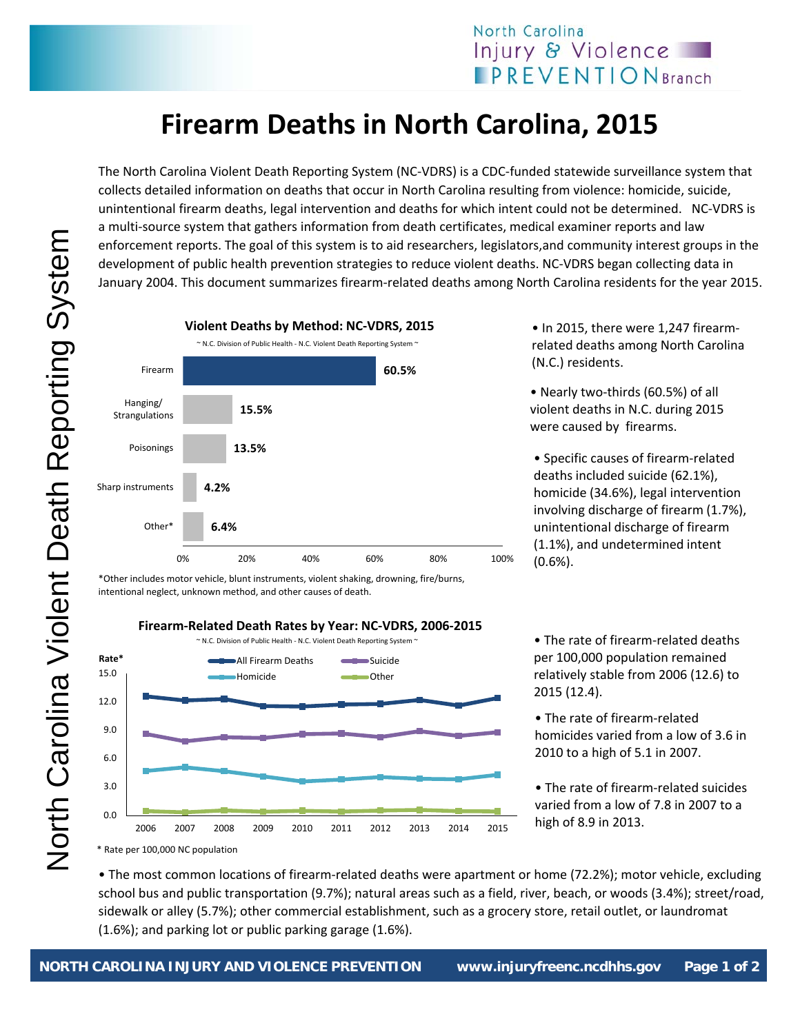## **Firearm Deaths in North Carolina, 2015**

The North Carolina Violent Death Reporting System (NC‐VDRS) is a CDC‐funded statewide surveillance system that collects detailed information on deaths that occur in North Carolina resulting from violence: homicide, suicide, unintentional firearm deaths, legal intervention and deaths for which intent could not be determined. NC‐VDRS is a multi-source system that gathers information from death certificates, medical examiner reports and law enforcement reports. The goal of this system is to aid researchers, legislators,and community interest groups in the development of public health prevention strategies to reduce violent deaths. NC‐VDRS began collecting data in January 2004. This document summarizes firearm-related deaths among North Carolina residents for the year 2015.



\*Other includes motor vehicle, blunt instruments, violent shaking, drowning, fire/burns, intentional neglect, unknown method, and other causes of death.

## **Firearm‐Related Death Rates by Year: NC‐VDRS, 2006‐2015**



• In 2015, there were 1,247 firearmrelated deaths among North Carolina (N.C.) residents.

• Nearly two-thirds (60.5%) of all violent deaths in N.C. during 2015 were caused by firearms.

• Specific causes of firearm‐related deaths included suicide (62.1%), homicide (34.6%), legal intervention involving discharge of firearm (1.7%), unintentional discharge of firearm (1.1%), and undetermined intent (0.6%).

• The rate of firearm‐related deaths per 100,000 population remained relatively stable from 2006 (12.6) to 2015 (12.4).

• The rate of firearm‐related homicides varied from a low of 3.6 in 2010 to a high of 5.1 in 2007.

• The rate of firearm‐related suicides varied from a low of 7.8 in 2007 to a high of 8.9 in 2013.

• The most common locations of firearm‐related deaths were apartment or home (72.2%); motor vehicle, excluding school bus and public transportation (9.7%); natural areas such as a field, river, beach, or woods (3.4%); street/road, sidewalk or alley (5.7%); other commercial establishment, such as a grocery store, retail outlet, or laundromat (1.6%); and parking lot or public parking garage (1.6%).

North Carolina Violent Death Reporting System North Carolina Violent Death Reporting System